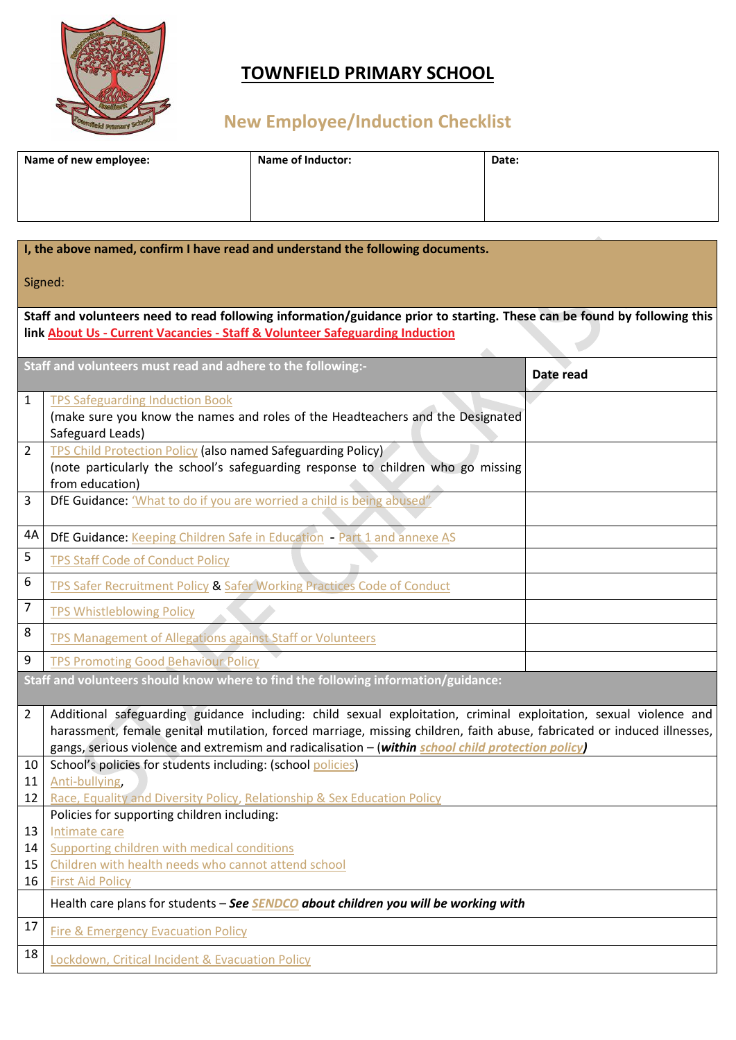

## **TOWNFIELD PRIMARY SCHOOL**

# **New Employee/Induction Checklist**

| Name of new employee: | <b>Name of Inductor:</b> | Date: |
|-----------------------|--------------------------|-------|
|                       |                          |       |
|                       |                          |       |

| I, the above named, confirm I have read and understand the following documents.                                                                                                                          |                                                                                                                                                                                                                                                                                                                                                    |  |  |  |
|----------------------------------------------------------------------------------------------------------------------------------------------------------------------------------------------------------|----------------------------------------------------------------------------------------------------------------------------------------------------------------------------------------------------------------------------------------------------------------------------------------------------------------------------------------------------|--|--|--|
| Signed:                                                                                                                                                                                                  |                                                                                                                                                                                                                                                                                                                                                    |  |  |  |
| Staff and volunteers need to read following information/guidance prior to starting. These can be found by following this<br>link About Us - Current Vacancies - Staff & Volunteer Safeguarding Induction |                                                                                                                                                                                                                                                                                                                                                    |  |  |  |
|                                                                                                                                                                                                          | Staff and volunteers must read and adhere to the following:-<br>Date read                                                                                                                                                                                                                                                                          |  |  |  |
| 1                                                                                                                                                                                                        | <b>TPS Safeguarding Induction Book</b><br>(make sure you know the names and roles of the Headteachers and the Designated<br>Safeguard Leads)                                                                                                                                                                                                       |  |  |  |
| 2                                                                                                                                                                                                        | <b>TPS Child Protection Policy (also named Safeguarding Policy)</b><br>(note particularly the school's safeguarding response to children who go missing<br>from education)                                                                                                                                                                         |  |  |  |
| 3                                                                                                                                                                                                        | DfE Guidance: 'What to do if you are worried a child is being abused"                                                                                                                                                                                                                                                                              |  |  |  |
| 4A                                                                                                                                                                                                       | DfE Guidance: Keeping Children Safe in Education - Part 1 and annexe AS                                                                                                                                                                                                                                                                            |  |  |  |
| 5                                                                                                                                                                                                        | <b>TPS Staff Code of Conduct Policy</b>                                                                                                                                                                                                                                                                                                            |  |  |  |
| 6                                                                                                                                                                                                        | TPS Safer Recruitment Policy & Safer Working Practices Code of Conduct                                                                                                                                                                                                                                                                             |  |  |  |
| $\overline{7}$                                                                                                                                                                                           | <b>TPS Whistleblowing Policy</b>                                                                                                                                                                                                                                                                                                                   |  |  |  |
| 8                                                                                                                                                                                                        | <b>TPS Management of Allegations against Staff or Volunteers</b>                                                                                                                                                                                                                                                                                   |  |  |  |
| 9                                                                                                                                                                                                        | <b>TPS Promoting Good Behaviour Policy</b>                                                                                                                                                                                                                                                                                                         |  |  |  |
|                                                                                                                                                                                                          | Staff and volunteers should know where to find the following information/guidance:                                                                                                                                                                                                                                                                 |  |  |  |
| 2                                                                                                                                                                                                        | Additional safeguarding guidance including: child sexual exploitation, criminal exploitation, sexual violence and<br>harassment, female genital mutilation, forced marriage, missing children, faith abuse, fabricated or induced illnesses,<br>gangs, serious violence and extremism and radicalisation - (within school child protection policy) |  |  |  |
| 10                                                                                                                                                                                                       | School's policies for students including: (school policies)                                                                                                                                                                                                                                                                                        |  |  |  |
| 11<br>12                                                                                                                                                                                                 | Anti-bullying,<br>Race, Equality and Diversity Policy, Relationship & Sex Education Policy                                                                                                                                                                                                                                                         |  |  |  |
|                                                                                                                                                                                                          | Policies for supporting children including:                                                                                                                                                                                                                                                                                                        |  |  |  |
| 13<br>14                                                                                                                                                                                                 | Intimate care<br>Supporting children with medical conditions                                                                                                                                                                                                                                                                                       |  |  |  |
| 15                                                                                                                                                                                                       | Children with health needs who cannot attend school                                                                                                                                                                                                                                                                                                |  |  |  |
| 16                                                                                                                                                                                                       | <b>First Aid Policy</b>                                                                                                                                                                                                                                                                                                                            |  |  |  |
|                                                                                                                                                                                                          | Health care plans for students - See SENDCO about children you will be working with                                                                                                                                                                                                                                                                |  |  |  |
| 17                                                                                                                                                                                                       | Fire & Emergency Evacuation Policy                                                                                                                                                                                                                                                                                                                 |  |  |  |
| 18                                                                                                                                                                                                       | Lockdown, Critical Incident & Evacuation Policy                                                                                                                                                                                                                                                                                                    |  |  |  |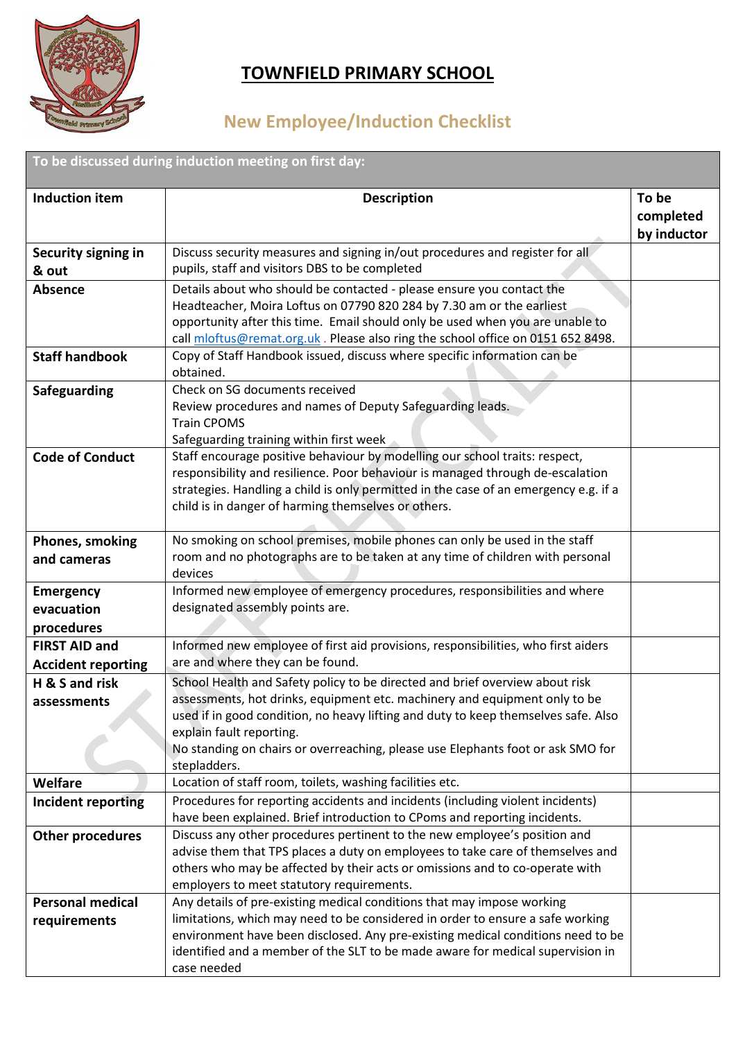

#### **TOWNFIELD PRIMARY SCHOOL**

## **New Employee/Induction Checklist**

**To be discussed during induction meeting on first day:**

| <b>Induction item</b>     | <b>Description</b>                                                                                                                                                | To be       |
|---------------------------|-------------------------------------------------------------------------------------------------------------------------------------------------------------------|-------------|
|                           |                                                                                                                                                                   | completed   |
|                           |                                                                                                                                                                   | by inductor |
| Security signing in       | Discuss security measures and signing in/out procedures and register for all                                                                                      |             |
| & out                     | pupils, staff and visitors DBS to be completed                                                                                                                    |             |
| <b>Absence</b>            | Details about who should be contacted - please ensure you contact the                                                                                             |             |
|                           | Headteacher, Moira Loftus on 07790 820 284 by 7.30 am or the earliest                                                                                             |             |
|                           | opportunity after this time. Email should only be used when you are unable to                                                                                     |             |
|                           | call mloftus@remat.org.uk. Please also ring the school office on 0151 652 8498.                                                                                   |             |
| <b>Staff handbook</b>     | Copy of Staff Handbook issued, discuss where specific information can be<br>obtained.                                                                             |             |
| <b>Safeguarding</b>       | Check on SG documents received                                                                                                                                    |             |
|                           | Review procedures and names of Deputy Safeguarding leads.                                                                                                         |             |
|                           | <b>Train CPOMS</b>                                                                                                                                                |             |
| <b>Code of Conduct</b>    | Safeguarding training within first week<br>Staff encourage positive behaviour by modelling our school traits: respect,                                            |             |
|                           | responsibility and resilience. Poor behaviour is managed through de-escalation                                                                                    |             |
|                           | strategies. Handling a child is only permitted in the case of an emergency e.g. if a                                                                              |             |
|                           | child is in danger of harming themselves or others.                                                                                                               |             |
|                           |                                                                                                                                                                   |             |
| Phones, smoking           | No smoking on school premises, mobile phones can only be used in the staff                                                                                        |             |
| and cameras               | room and no photographs are to be taken at any time of children with personal<br>devices                                                                          |             |
| <b>Emergency</b>          | Informed new employee of emergency procedures, responsibilities and where                                                                                         |             |
| evacuation                | designated assembly points are.                                                                                                                                   |             |
| procedures                |                                                                                                                                                                   |             |
| <b>FIRST AID and</b>      | Informed new employee of first aid provisions, responsibilities, who first aiders                                                                                 |             |
| <b>Accident reporting</b> | are and where they can be found.                                                                                                                                  |             |
| H & S and risk            | School Health and Safety policy to be directed and brief overview about risk                                                                                      |             |
| assessments               | assessments, hot drinks, equipment etc. machinery and equipment only to be<br>used if in good condition, no heavy lifting and duty to keep themselves safe. Also  |             |
|                           | explain fault reporting.                                                                                                                                          |             |
|                           | No standing on chairs or overreaching, please use Elephants foot or ask SMO for                                                                                   |             |
|                           | stepladders.                                                                                                                                                      |             |
| Welfare                   | Location of staff room, toilets, washing facilities etc.                                                                                                          |             |
| Incident reporting        | Procedures for reporting accidents and incidents (including violent incidents)<br>have been explained. Brief introduction to CPoms and reporting incidents.       |             |
| Other procedures          | Discuss any other procedures pertinent to the new employee's position and                                                                                         |             |
|                           | advise them that TPS places a duty on employees to take care of themselves and                                                                                    |             |
|                           | others who may be affected by their acts or omissions and to co-operate with                                                                                      |             |
|                           | employers to meet statutory requirements.                                                                                                                         |             |
| <b>Personal medical</b>   | Any details of pre-existing medical conditions that may impose working                                                                                            |             |
| requirements              | limitations, which may need to be considered in order to ensure a safe working                                                                                    |             |
|                           | environment have been disclosed. Any pre-existing medical conditions need to be<br>identified and a member of the SLT to be made aware for medical supervision in |             |
|                           | case needed                                                                                                                                                       |             |
|                           |                                                                                                                                                                   |             |